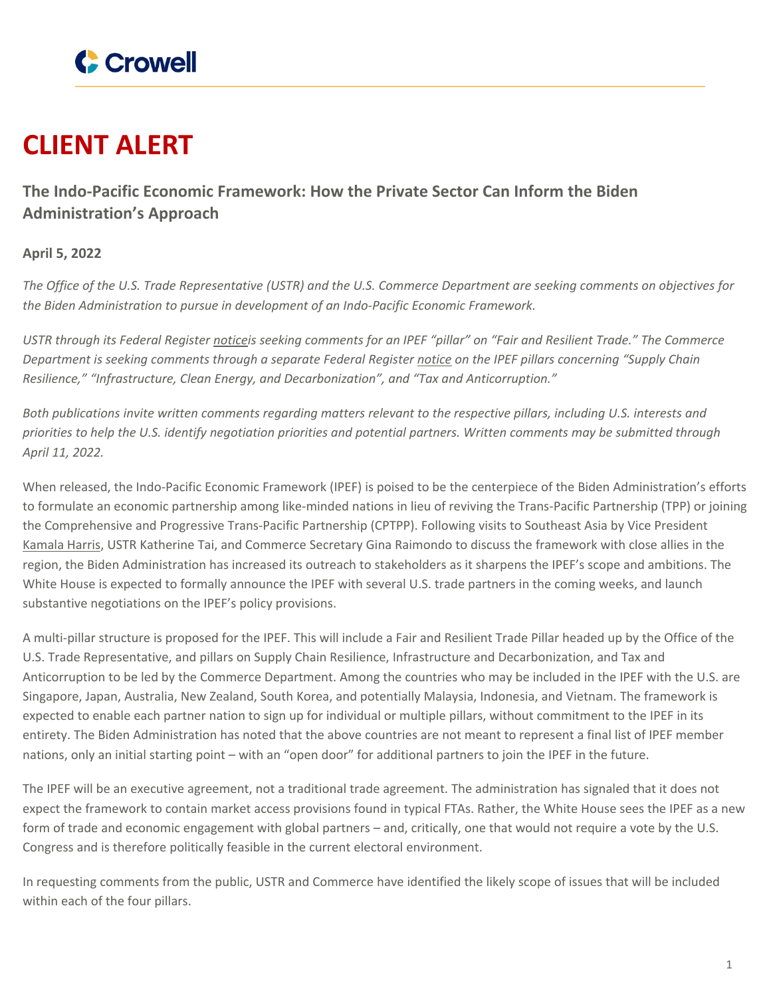

# **CLIENT ALERT**

**The Indo-Pacific Economic Framework: How the Private Sector Can Inform the Biden Administration's Approach**

# **April 5, 2022**

The Office of the U.S. Trade Representative (USTR) and the U.S. Commerce Department are seeking comments on objectives for *the Biden Administration to pursue in development of an Indo-Pacific Economic Framework.*

USTR through its Federal Register [noticei](https://www.federalregister.gov/documents/2022/03/10/2022-05044/request-for-comments-on-the-proposed-fair-and-resilient-trade-pillar-of-an-indo-pacific-economic)s seeking comments for an IPEF "pillar" on "Fair and Resilient Trade." The Commerce Department is seeking comments through a separate Federal Register [notice](https://www.federalregister.gov/documents/2022/03/11/2022-05206/request-for-comments-on-the-indo-pacific-economic-framework) on the IPEF pillars concerning "Supply Chain *Resilience," "Infrastructure, Clean Energy, and Decarbonization", and "Tax and Anticorruption."*

Both publications invite written comments regarding matters relevant to the respective pillars, including U.S. interests and priorities to help the U.S. identify negotiation priorities and potential partners. Written comments may be submitted through *April 11, 2022.*

When released, the Indo-Pacific Economic Framework (IPEF) is poised to be the centerpiece of the Biden Administration's efforts to formulate an economic partnership among like-minded nations in lieu of reviving the Trans-Pacific Partnership (TPP) or joining the Comprehensive and Progressive Trans-Pacific Partnership (CPTPP). Following visits to Southeast Asia by Vice President [Kamala](https://www.linkedin.com/pulse/inside-view-vice-presidents-visit-singapore-clark-jennings/?trackingId=P2QCGJonV1XNf9drdSo%2BiQ%3D%3D) Harris, USTR Katherine Tai, and Commerce Secretary Gina Raimondo to discuss the framework with close allies in the region, the Biden Administration has increased its outreach to stakeholders as it sharpens the IPEF's scope and ambitions. The White House is expected to formally announce the IPEF with several U.S. trade partners in the coming weeks, and launch substantive negotiations on the IPEF's policy provisions.

A multi-pillar structure is proposed for the IPEF. This will include a Fair and Resilient Trade Pillar headed up by the Office of the U.S. Trade Representative, and pillars on Supply Chain Resilience, Infrastructure and Decarbonization, and Tax and Anticorruption to be led by the Commerce Department. Among the countries who may be included in the IPEF with the U.S. are Singapore, Japan, Australia, New Zealand, South Korea, and potentially Malaysia, Indonesia, and Vietnam. The framework is expected to enable each partner nation to sign up for individual or multiple pillars, without commitment to the IPEF in its entirety. The Biden Administration has noted that the above countries are not meant to represent a final list of IPEF member nations, only an initial starting point – with an "open door" for additional partners to join the IPEF in the future.

The IPEF will be an executive agreement, not a traditional trade agreement. The administration has signaled that it does not expect the framework to contain market access provisions found in typical FTAs. Rather, the White House sees the IPEF as a new form of trade and economic engagement with global partners – and, critically, one that would not require a vote by the U.S. Congress and is therefore politically feasible in the current electoral environment.

In requesting comments from the public, USTR and Commerce have identified the likely scope of issues that will be included within each of the four pillars.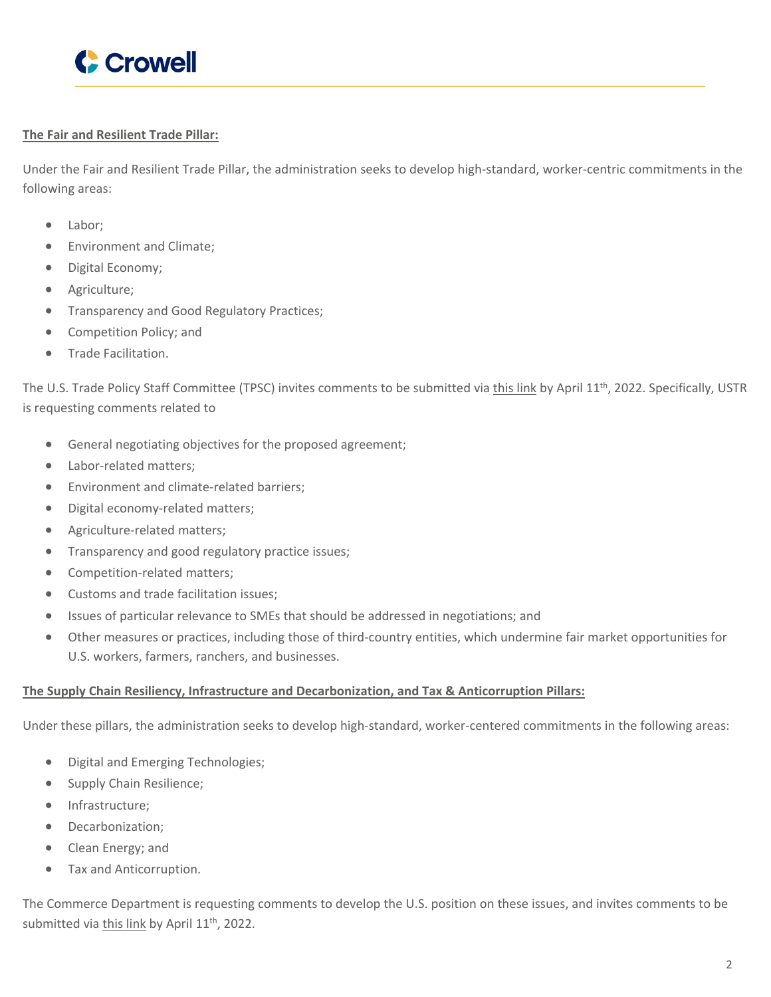

### **The Fair and Resilient Trade Pillar:**

Under the Fair and Resilient Trade Pillar, the administration seeks to develop high-standard, worker-centric commitments in the following areas:

- Labor:
- Environment and Climate:
- Digital Economy;
- Agriculture;
- **•** Transparency and Good Regulatory Practices;
- Competition Policy; and
- **•** Trade Facilitation.

The U.S. Trade Policy Staff Committee (TPSC) invites comments to be submitted via [this](https://www.regulations.gov/) link by April 11<sup>th</sup>, 2022. Specifically, USTR is requesting comments related to

- General negotiating objectives for the proposed agreement;
- Labor-related matters:
- **•** Environment and climate-related barriers;
- Digital economy-related matters;
- Agriculture-related matters;
- **•** Transparency and good regulatory practice issues;
- Competition-related matters;
- Customs and trade facilitation issues;
- Issues of particular relevance to SMEs that should be addressed in negotiations; and
- Other measures or practices, including those of third-country entities, which undermine fair market opportunities for U.S. workers, farmers, ranchers, and businesses.

#### **The Supply Chain Resiliency, Infrastructure and Decarbonization, and Tax & Anticorruption Pillars:**

Under these pillars, the administration seeks to develop high-standard, worker-centered commitments in the following areas:

- Digital and Emerging Technologies;
- Supply Chain Resilience;
- Infrastructure;
- Decarbonization:
- Clean Energy; and
- Tax and Anticorruption.

The Commerce Department is requesting comments to develop the U.S. position on these issues, and invites comments to be submitted via [this](https://www.regulations.gov/) link by April 11<sup>th</sup>, 2022.